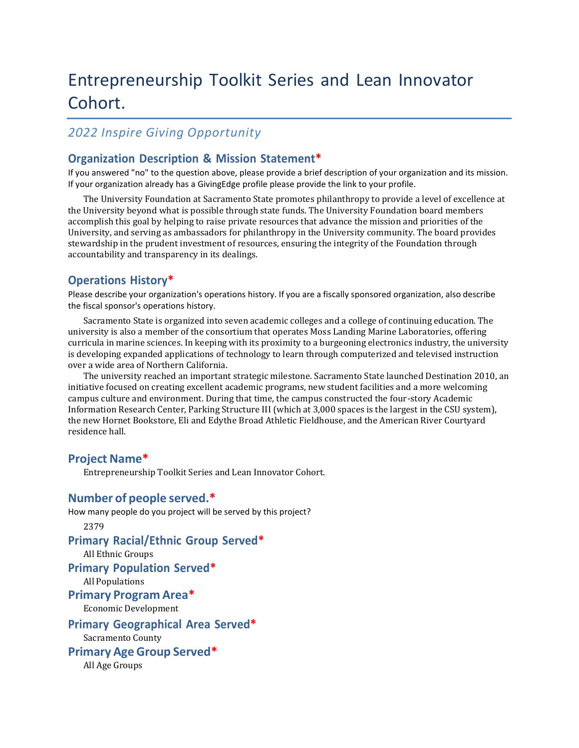# Entrepreneurship Toolkit Series and Lean Innovator Cohort.

## *2022 Inspire Giving Opportunity*

## **Organization Description & Mission Statement\***

If you answered "no" to the question above, please provide a brief description of your organization and its mission. If your organization already has a GivingEdge profile please provide the link to your profile.

The University Foundation at Sacramento State promotes philanthropy to provide a level of excellence at the University beyond what is possible through state funds. The University Foundation board members accomplish this goal by helping to raise private resources that advance the mission and priorities of the University, and serving as ambassadors for philanthropy in the University community. The board provides stewardship in the prudent investment of resources, ensuring the integrity of the Foundation through accountability and transparency in its dealings.

## **Operations History\***

Please describe your organization's operations history. If you are a fiscally sponsored organization, also describe the fiscal sponsor's operations history.

Sacramento State is organized into seven academic colleges and a college of continuing education. The university is also a member of the consortium that operates Moss Landing Marine Laboratories, offering curricula in marine sciences. In keeping with its proximity to a burgeoning electronics industry, the university is developing expanded applications of technology to learn through computerized and televised instruction over a wide area of Northern California.

The university reached an important strategic milestone. Sacramento State launched Destination 2010, an initiative focused on creating excellent academic programs, new student facilities and a more welcoming campus culture and environment. During that time, the campus constructed the four-story Academic Information Research Center, Parking Structure III (which at 3,000 spaces is the largest in the CSU system), the new Hornet Bookstore, Eli and Edythe Broad Athletic Fieldhouse, and the American River Courtyard residence hall.

## **Project Name\***

Entrepreneurship Toolkit Series and Lean Innovator Cohort.

## **Number of people served.\***

How many people do you project will be served by this project?

2379

## **Primary Racial/Ethnic Group Served\***

All Ethnic Groups

**Primary Population Served\***

All Populations

#### **Primary Program Area\***

Economic Development

#### **Primary Geographical Area Served\***

Sacramento County

**Primary Age Group Served\***

All Age Groups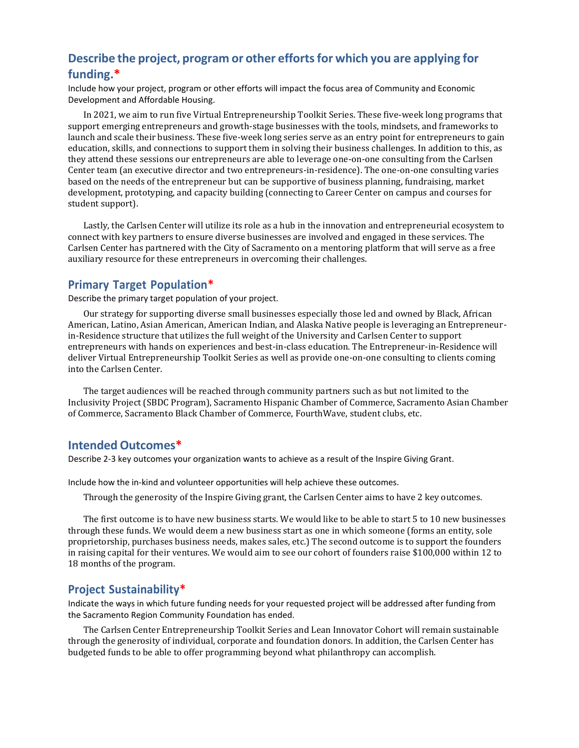# **Describe the project, program or other effortsfor which you are applying for funding.\***

Include how your project, program or other efforts will impact the focus area of Community and Economic Development and Affordable Housing.

In 2021, we aim to run five Virtual Entrepreneurship Toolkit Series. These five-week long programs that support emerging entrepreneurs and growth-stage businesses with the tools, mindsets, and frameworks to launch and scale their business. These five-week long series serve as an entry point for entrepreneurs to gain education, skills, and connections to support them in solving their business challenges. In addition to this, as they attend these sessions our entrepreneurs are able to leverage one-on-one consulting from the Carlsen Center team (an executive director and two entrepreneurs-in-residence). The one-on-one consulting varies based on the needs of the entrepreneur but can be supportive of business planning, fundraising, market development, prototyping, and capacity building (connecting to Career Center on campus and courses for student support).

Lastly, the Carlsen Center will utilize its role as a hub in the innovation and entrepreneurial ecosystem to connect with key partners to ensure diverse businesses are involved and engaged in these services. The Carlsen Center has partnered with the City of Sacramento on a mentoring platform that will serve as a free auxiliary resource for these entrepreneurs in overcoming their challenges.

#### **Primary Target Population\***

Describe the primary target population of your project.

Our strategy for supporting diverse small businesses especially those led and owned by Black, African American, Latino, Asian American, American Indian, and Alaska Native people is leveraging an Entrepreneurin-Residence structure that utilizes the full weight of the University and Carlsen Center to support entrepreneurs with hands on experiences and best-in-class education. The Entrepreneur-in-Residence will deliver Virtual Entrepreneurship Toolkit Series as well as provide one-on-one consulting to clients coming into the Carlsen Center.

The target audiences will be reached through community partners such as but not limited to the Inclusivity Project (SBDC Program), Sacramento Hispanic Chamber of Commerce, Sacramento Asian Chamber of Commerce, Sacramento Black Chamber of Commerce, FourthWave, student clubs, etc.

## **Intended Outcomes\***

Describe 2-3 key outcomes your organization wants to achieve as a result of the Inspire Giving Grant.

Include how the in-kind and volunteer opportunities will help achieve these outcomes.

Through the generosity of the Inspire Giving grant, the Carlsen Center aims to have 2 key outcomes.

The first outcome is to have new business starts. We would like to be able to start 5 to 10 new businesses through these funds. We would deem a new business start as one in which someone (forms an entity, sole proprietorship, purchases business needs, makes sales, etc.) The second outcome is to support the founders in raising capital for their ventures. We would aim to see our cohort of founders raise \$100,000 within 12 to 18 months of the program.

#### **Project Sustainability\***

Indicate the ways in which future funding needs for your requested project will be addressed after funding from the Sacramento Region Community Foundation has ended.

The Carlsen Center Entrepreneurship Toolkit Series and Lean Innovator Cohort will remain sustainable through the generosity of individual, corporate and foundation donors. In addition, the Carlsen Center has budgeted funds to be able to offer programming beyond what philanthropy can accomplish.